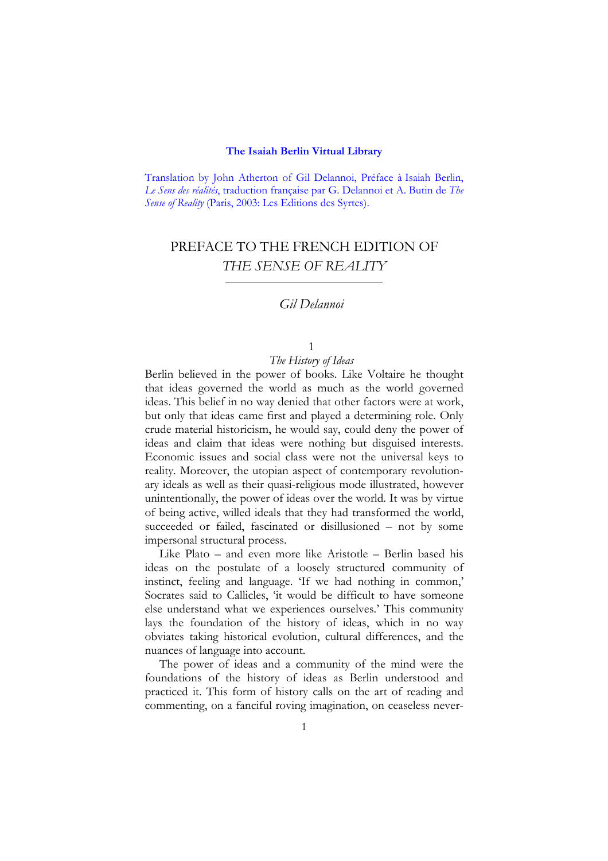#### **The Isaiah Berlin Virtual Library**

Translation by John Atherton of Gil Delannoi, Préface à Isaiah Berlin, *Le Sens des réalités*, traduction française par G. Delannoi et A. Butin de *The Sense of Reality* (Paris, 2003: Les Editions des Syrtes).

# PREFACE TO THE FRENCH EDITION OF *THE SENSE OF REALITY*

## *Gil Delannoi*

## 1

#### *The History of Ideas*

Berlin believed in the power of books. Like Voltaire he thought that ideas governed the world as much as the world governed ideas. This belief in no way denied that other factors were at work, but only that ideas came first and played a determining role. Only crude material historicism, he would say, could deny the power of ideas and claim that ideas were nothing but disguised interests. Economic issues and social class were not the universal keys to reality. Moreover, the utopian aspect of contemporary revolutionary ideals as well as their quasi-religious mode illustrated, however unintentionally, the power of ideas over the world. It was by virtue of being active, willed ideals that they had transformed the world, succeeded or failed, fascinated or disillusioned – not by some impersonal structural process.

Like Plato – and even more like Aristotle – Berlin based his ideas on the postulate of a loosely structured community of instinct, feeling and language. 'If we had nothing in common,' Socrates said to Callicles, 'it would be difficult to have someone else understand what we experiences ourselves.' This community lays the foundation of the history of ideas, which in no way obviates taking historical evolution, cultural differences, and the nuances of language into account.

The power of ideas and a community of the mind were the foundations of the history of ideas as Berlin understood and practiced it. This form of history calls on the art of reading and commenting, on a fanciful roving imagination, on ceaseless never-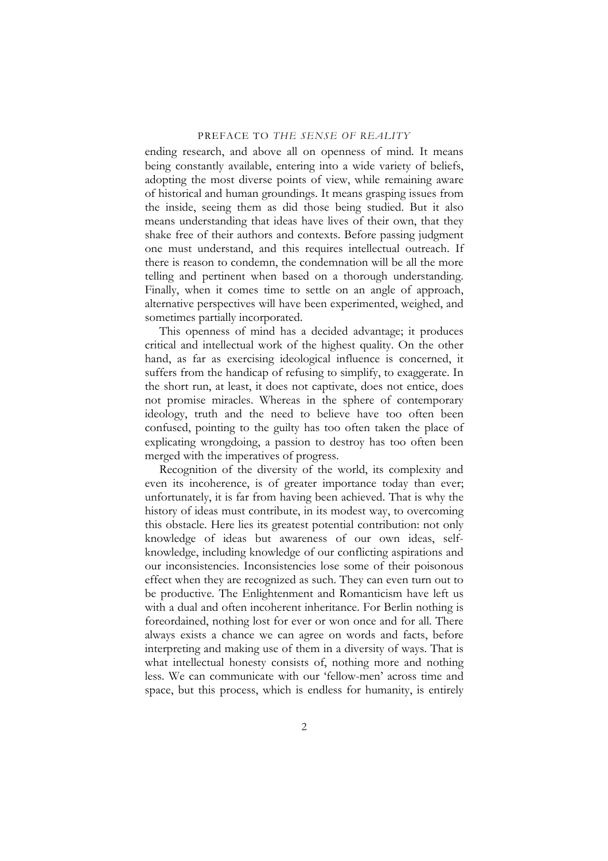ending research, and above all on openness of mind. It means being constantly available, entering into a wide variety of beliefs, adopting the most diverse points of view, while remaining aware of historical and human groundings. It means grasping issues from the inside, seeing them as did those being studied. But it also means understanding that ideas have lives of their own, that they shake free of their authors and contexts. Before passing judgment one must understand, and this requires intellectual outreach. If there is reason to condemn, the condemnation will be all the more telling and pertinent when based on a thorough understanding. Finally, when it comes time to settle on an angle of approach, alternative perspectives will have been experimented, weighed, and sometimes partially incorporated.

This openness of mind has a decided advantage; it produces critical and intellectual work of the highest quality. On the other hand, as far as exercising ideological influence is concerned, it suffers from the handicap of refusing to simplify, to exaggerate. In the short run, at least, it does not captivate, does not entice, does not promise miracles. Whereas in the sphere of contemporary ideology, truth and the need to believe have too often been confused, pointing to the guilty has too often taken the place of explicating wrongdoing, a passion to destroy has too often been merged with the imperatives of progress.

Recognition of the diversity of the world, its complexity and even its incoherence, is of greater importance today than ever; unfortunately, it is far from having been achieved. That is why the history of ideas must contribute, in its modest way, to overcoming this obstacle. Here lies its greatest potential contribution: not only knowledge of ideas but awareness of our own ideas, selfknowledge, including knowledge of our conflicting aspirations and our inconsistencies. Inconsistencies lose some of their poisonous effect when they are recognized as such. They can even turn out to be productive. The Enlightenment and Romanticism have left us with a dual and often incoherent inheritance. For Berlin nothing is foreordained, nothing lost for ever or won once and for all. There always exists a chance we can agree on words and facts, before interpreting and making use of them in a diversity of ways. That is what intellectual honesty consists of, nothing more and nothing less. We can communicate with our 'fellow-men' across time and space, but this process, which is endless for humanity, is entirely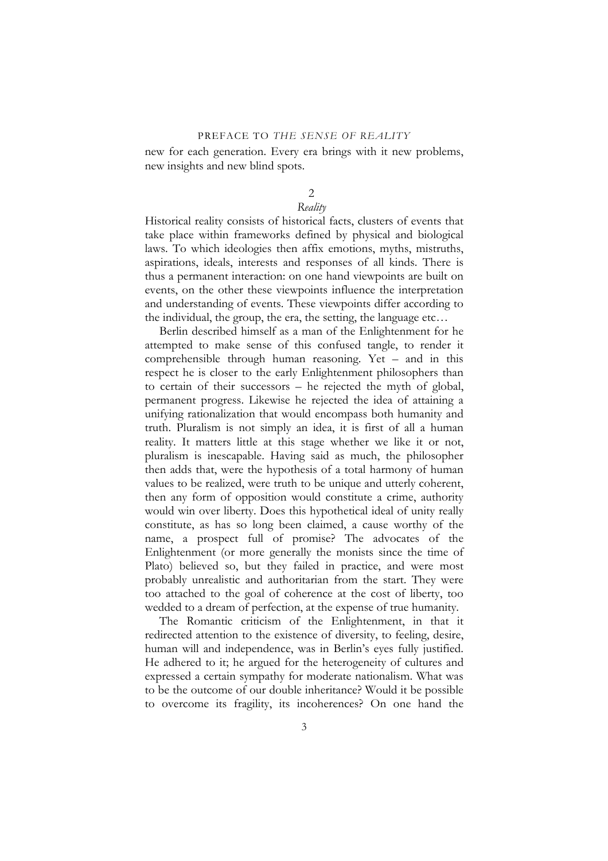new for each generation. Every era brings with it new problems, new insights and new blind spots.

## 2

### *Reality*

Historical reality consists of historical facts, clusters of events that take place within frameworks defined by physical and biological laws. To which ideologies then affix emotions, myths, mistruths, aspirations, ideals, interests and responses of all kinds. There is thus a permanent interaction: on one hand viewpoints are built on events, on the other these viewpoints influence the interpretation and understanding of events. These viewpoints differ according to the individual, the group, the era, the setting, the language etc…

Berlin described himself as a man of the Enlightenment for he attempted to make sense of this confused tangle, to render it comprehensible through human reasoning. Yet – and in this respect he is closer to the early Enlightenment philosophers than to certain of their successors – he rejected the myth of global, permanent progress. Likewise he rejected the idea of attaining a unifying rationalization that would encompass both humanity and truth. Pluralism is not simply an idea, it is first of all a human reality. It matters little at this stage whether we like it or not, pluralism is inescapable. Having said as much, the philosopher then adds that, were the hypothesis of a total harmony of human values to be realized, were truth to be unique and utterly coherent, then any form of opposition would constitute a crime, authority would win over liberty. Does this hypothetical ideal of unity really constitute, as has so long been claimed, a cause worthy of the name, a prospect full of promise? The advocates of the Enlightenment (or more generally the monists since the time of Plato) believed so, but they failed in practice, and were most probably unrealistic and authoritarian from the start. They were too attached to the goal of coherence at the cost of liberty, too wedded to a dream of perfection, at the expense of true humanity.

The Romantic criticism of the Enlightenment, in that it redirected attention to the existence of diversity, to feeling, desire, human will and independence, was in Berlin's eyes fully justified. He adhered to it; he argued for the heterogeneity of cultures and expressed a certain sympathy for moderate nationalism. What was to be the outcome of our double inheritance? Would it be possible to overcome its fragility, its incoherences? On one hand the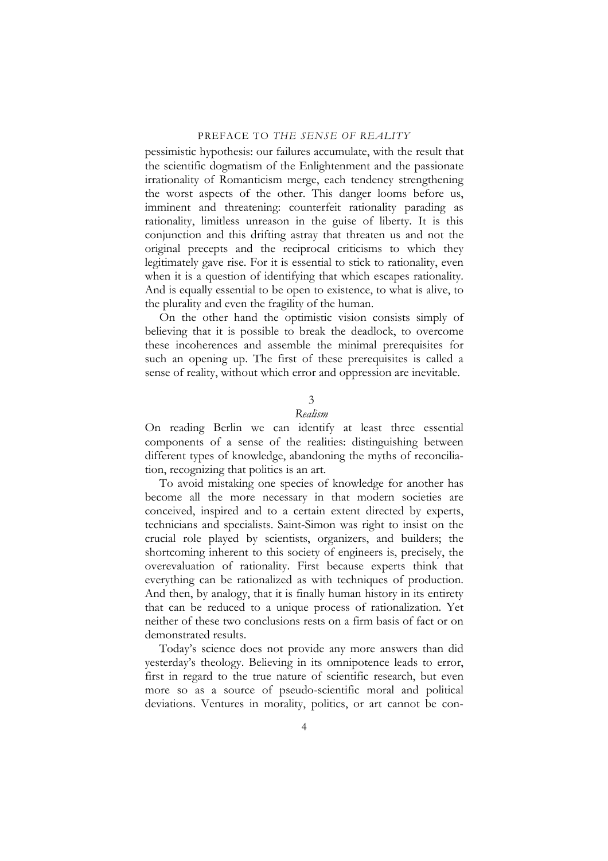pessimistic hypothesis: our failures accumulate, with the result that the scientific dogmatism of the Enlightenment and the passionate irrationality of Romanticism merge, each tendency strengthening the worst aspects of the other. This danger looms before us, imminent and threatening: counterfeit rationality parading as rationality, limitless unreason in the guise of liberty. It is this conjunction and this drifting astray that threaten us and not the original precepts and the reciprocal criticisms to which they legitimately gave rise. For it is essential to stick to rationality, even when it is a question of identifying that which escapes rationality. And is equally essential to be open to existence, to what is alive, to the plurality and even the fragility of the human.

On the other hand the optimistic vision consists simply of believing that it is possible to break the deadlock, to overcome these incoherences and assemble the minimal prerequisites for such an opening up. The first of these prerequisites is called a sense of reality, without which error and oppression are inevitable.

### 3

## *Realism*

On reading Berlin we can identify at least three essential components of a sense of the realities: distinguishing between different types of knowledge, abandoning the myths of reconciliation, recognizing that politics is an art.

To avoid mistaking one species of knowledge for another has become all the more necessary in that modern societies are conceived, inspired and to a certain extent directed by experts, technicians and specialists. Saint-Simon was right to insist on the crucial role played by scientists, organizers, and builders; the shortcoming inherent to this society of engineers is, precisely, the overevaluation of rationality. First because experts think that everything can be rationalized as with techniques of production. And then, by analogy, that it is finally human history in its entirety that can be reduced to a unique process of rationalization. Yet neither of these two conclusions rests on a firm basis of fact or on demonstrated results.

Today's science does not provide any more answers than did yesterday's theology. Believing in its omnipotence leads to error, first in regard to the true nature of scientific research, but even more so as a source of pseudo-scientific moral and political deviations. Ventures in morality, politics, or art cannot be con-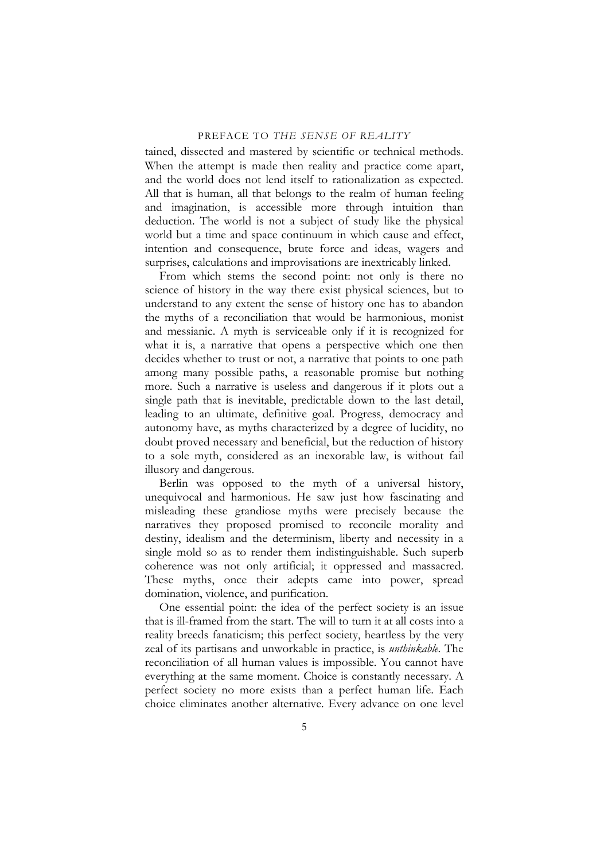tained, dissected and mastered by scientific or technical methods. When the attempt is made then reality and practice come apart, and the world does not lend itself to rationalization as expected. All that is human, all that belongs to the realm of human feeling and imagination, is accessible more through intuition than deduction. The world is not a subject of study like the physical world but a time and space continuum in which cause and effect, intention and consequence, brute force and ideas, wagers and surprises, calculations and improvisations are inextricably linked.

From which stems the second point: not only is there no science of history in the way there exist physical sciences, but to understand to any extent the sense of history one has to abandon the myths of a reconciliation that would be harmonious, monist and messianic. A myth is serviceable only if it is recognized for what it is, a narrative that opens a perspective which one then decides whether to trust or not, a narrative that points to one path among many possible paths, a reasonable promise but nothing more. Such a narrative is useless and dangerous if it plots out a single path that is inevitable, predictable down to the last detail, leading to an ultimate, definitive goal. Progress, democracy and autonomy have, as myths characterized by a degree of lucidity, no doubt proved necessary and beneficial, but the reduction of history to a sole myth, considered as an inexorable law, is without fail illusory and dangerous.

Berlin was opposed to the myth of a universal history, unequivocal and harmonious. He saw just how fascinating and misleading these grandiose myths were precisely because the narratives they proposed promised to reconcile morality and destiny, idealism and the determinism, liberty and necessity in a single mold so as to render them indistinguishable. Such superb coherence was not only artificial; it oppressed and massacred. These myths, once their adepts came into power, spread domination, violence, and purification.

One essential point: the idea of the perfect society is an issue that is ill-framed from the start. The will to turn it at all costs into a reality breeds fanaticism; this perfect society, heartless by the very zeal of its partisans and unworkable in practice, is *unthinkable*. The reconciliation of all human values is impossible. You cannot have everything at the same moment. Choice is constantly necessary. A perfect society no more exists than a perfect human life. Each choice eliminates another alternative. Every advance on one level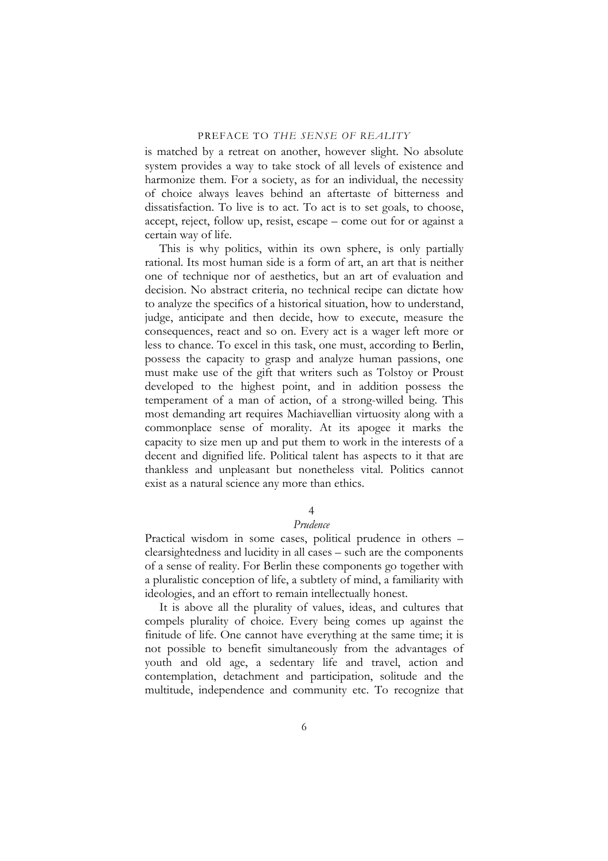is matched by a retreat on another, however slight. No absolute system provides a way to take stock of all levels of existence and harmonize them. For a society, as for an individual, the necessity of choice always leaves behind an aftertaste of bitterness and dissatisfaction. To live is to act. To act is to set goals, to choose, accept, reject, follow up, resist, escape – come out for or against a certain way of life.

This is why politics, within its own sphere, is only partially rational. Its most human side is a form of art, an art that is neither one of technique nor of aesthetics, but an art of evaluation and decision. No abstract criteria, no technical recipe can dictate how to analyze the specifics of a historical situation, how to understand, judge, anticipate and then decide, how to execute, measure the consequences, react and so on. Every act is a wager left more or less to chance. To excel in this task, one must, according to Berlin, possess the capacity to grasp and analyze human passions, one must make use of the gift that writers such as Tolstoy or Proust developed to the highest point, and in addition possess the temperament of a man of action, of a strong-willed being. This most demanding art requires Machiavellian virtuosity along with a commonplace sense of morality. At its apogee it marks the capacity to size men up and put them to work in the interests of a decent and dignified life. Political talent has aspects to it that are thankless and unpleasant but nonetheless vital. Politics cannot exist as a natural science any more than ethics.

#### 4

#### *Prudence*

Practical wisdom in some cases, political prudence in others – clearsightedness and lucidity in all cases – such are the components of a sense of reality. For Berlin these components go together with a pluralistic conception of life, a subtlety of mind, a familiarity with ideologies, and an effort to remain intellectually honest.

It is above all the plurality of values, ideas, and cultures that compels plurality of choice. Every being comes up against the finitude of life. One cannot have everything at the same time; it is not possible to benefit simultaneously from the advantages of youth and old age, a sedentary life and travel, action and contemplation, detachment and participation, solitude and the multitude, independence and community etc. To recognize that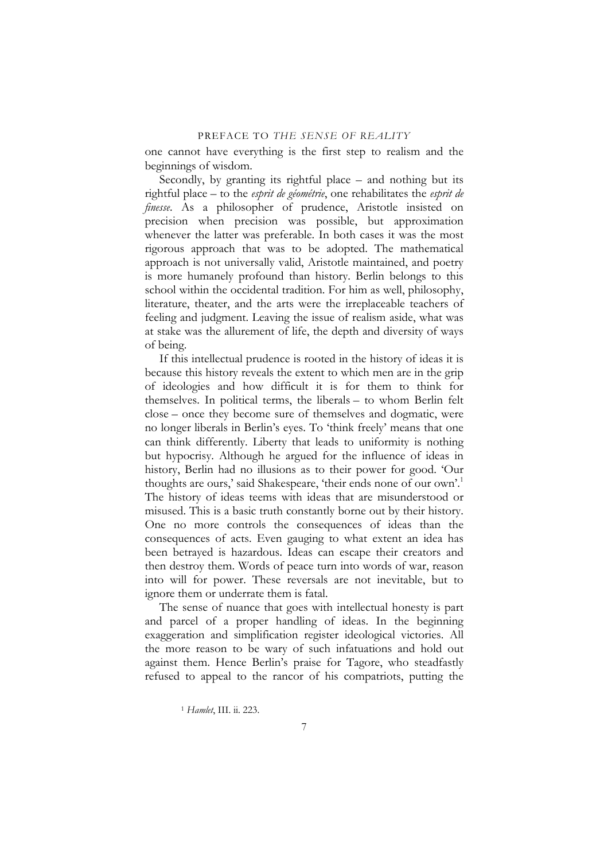one cannot have everything is the first step to realism and the beginnings of wisdom.

Secondly, by granting its rightful place – and nothing but its rightful place – to the *esprit de géométrie*, one rehabilitates the *esprit de finesse*. As a philosopher of prudence, Aristotle insisted on precision when precision was possible, but approximation whenever the latter was preferable. In both cases it was the most rigorous approach that was to be adopted. The mathematical approach is not universally valid, Aristotle maintained, and poetry is more humanely profound than history. Berlin belongs to this school within the occidental tradition. For him as well, philosophy, literature, theater, and the arts were the irreplaceable teachers of feeling and judgment. Leaving the issue of realism aside, what was at stake was the allurement of life, the depth and diversity of ways of being.

If this intellectual prudence is rooted in the history of ideas it is because this history reveals the extent to which men are in the grip of ideologies and how difficult it is for them to think for themselves. In political terms, the liberals – to whom Berlin felt close – once they become sure of themselves and dogmatic, were no longer liberals in Berlin's eyes. To 'think freely' means that one can think differently. Liberty that leads to uniformity is nothing but hypocrisy. Although he argued for the influence of ideas in history, Berlin had no illusions as to their power for good. 'Our thoughts are ours,' said Shakespeare, 'their ends none of our own'.<sup>[1](#page-6-0)</sup> The history of ideas teems with ideas that are misunderstood or misused. This is a basic truth constantly borne out by their history. One no more controls the consequences of ideas than the consequences of acts. Even gauging to what extent an idea has been betrayed is hazardous. Ideas can escape their creators and then destroy them. Words of peace turn into words of war, reason into will for power. These reversals are not inevitable, but to ignore them or underrate them is fatal.

The sense of nuance that goes with intellectual honesty is part and parcel of a proper handling of ideas. In the beginning exaggeration and simplification register ideological victories. All the more reason to be wary of such infatuations and hold out against them. Hence Berlin's praise for Tagore, who steadfastly refused to appeal to the rancor of his compatriots, putting the

<span id="page-6-0"></span><sup>1</sup> *Hamlet*, III. ii. 223.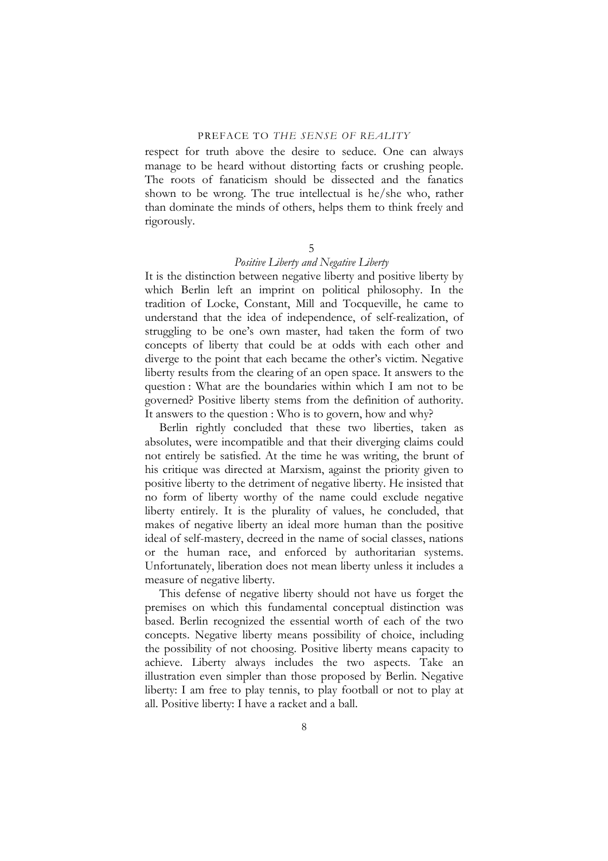respect for truth above the desire to seduce. One can always manage to be heard without distorting facts or crushing people. The roots of fanaticism should be dissected and the fanatics shown to be wrong. The true intellectual is he/she who, rather than dominate the minds of others, helps them to think freely and rigorously.

#### 5

#### *Positive Liberty and Negative Liberty*

It is the distinction between negative liberty and positive liberty by which Berlin left an imprint on political philosophy. In the tradition of Locke, Constant, Mill and Tocqueville, he came to understand that the idea of independence, of self-realization, of struggling to be one's own master, had taken the form of two concepts of liberty that could be at odds with each other and diverge to the point that each became the other's victim. Negative liberty results from the clearing of an open space. It answers to the question : What are the boundaries within which I am not to be governed? Positive liberty stems from the definition of authority. It answers to the question : Who is to govern, how and why?

Berlin rightly concluded that these two liberties, taken as absolutes, were incompatible and that their diverging claims could not entirely be satisfied. At the time he was writing, the brunt of his critique was directed at Marxism, against the priority given to positive liberty to the detriment of negative liberty. He insisted that no form of liberty worthy of the name could exclude negative liberty entirely. It is the plurality of values, he concluded, that makes of negative liberty an ideal more human than the positive ideal of self-mastery, decreed in the name of social classes, nations or the human race, and enforced by authoritarian systems. Unfortunately, liberation does not mean liberty unless it includes a measure of negative liberty.

This defense of negative liberty should not have us forget the premises on which this fundamental conceptual distinction was based. Berlin recognized the essential worth of each of the two concepts. Negative liberty means possibility of choice, including the possibility of not choosing. Positive liberty means capacity to achieve. Liberty always includes the two aspects. Take an illustration even simpler than those proposed by Berlin. Negative liberty: I am free to play tennis, to play football or not to play at all. Positive liberty: I have a racket and a ball.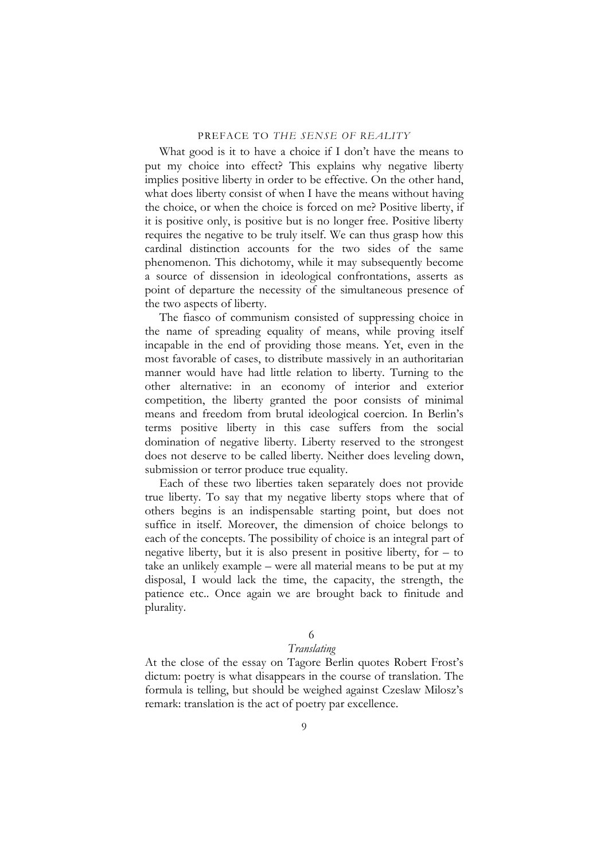What good is it to have a choice if I don't have the means to put my choice into effect? This explains why negative liberty implies positive liberty in order to be effective. On the other hand, what does liberty consist of when I have the means without having the choice, or when the choice is forced on me? Positive liberty, if it is positive only, is positive but is no longer free. Positive liberty requires the negative to be truly itself. We can thus grasp how this cardinal distinction accounts for the two sides of the same phenomenon. This dichotomy, while it may subsequently become a source of dissension in ideological confrontations, asserts as point of departure the necessity of the simultaneous presence of the two aspects of liberty.

The fiasco of communism consisted of suppressing choice in the name of spreading equality of means, while proving itself incapable in the end of providing those means. Yet, even in the most favorable of cases, to distribute massively in an authoritarian manner would have had little relation to liberty. Turning to the other alternative: in an economy of interior and exterior competition, the liberty granted the poor consists of minimal means and freedom from brutal ideological coercion. In Berlin's terms positive liberty in this case suffers from the social domination of negative liberty. Liberty reserved to the strongest does not deserve to be called liberty. Neither does leveling down, submission or terror produce true equality.

Each of these two liberties taken separately does not provide true liberty. To say that my negative liberty stops where that of others begins is an indispensable starting point, but does not suffice in itself. Moreover, the dimension of choice belongs to each of the concepts. The possibility of choice is an integral part of negative liberty, but it is also present in positive liberty, for – to take an unlikely example – were all material means to be put at my disposal, I would lack the time, the capacity, the strength, the patience etc.. Once again we are brought back to finitude and plurality.

### 6

## *Translating*

At the close of the essay on Tagore Berlin quotes Robert Frost's dictum: poetry is what disappears in the course of translation. The formula is telling, but should be weighed against Czeslaw Milosz's remark: translation is the act of poetry par excellence.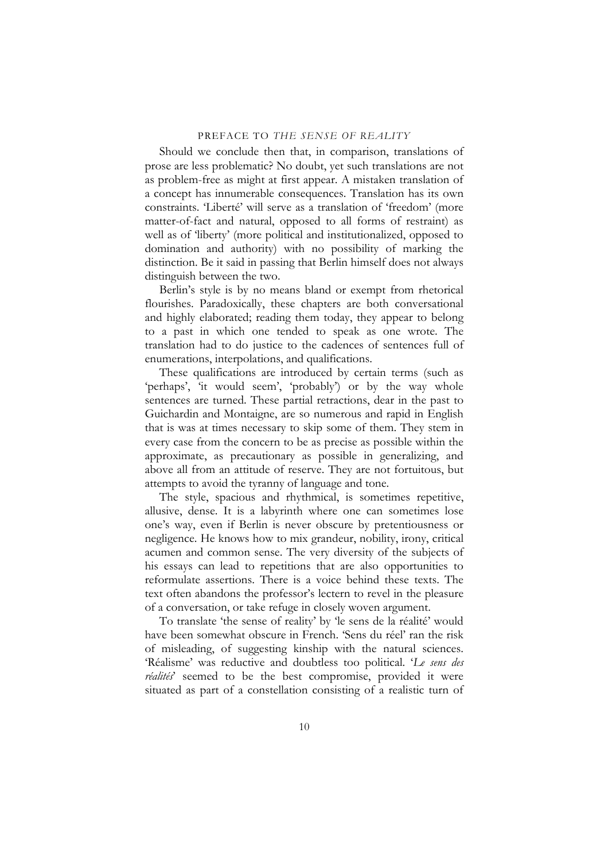Should we conclude then that, in comparison, translations of prose are less problematic? No doubt, yet such translations are not as problem-free as might at first appear. A mistaken translation of a concept has innumerable consequences. Translation has its own constraints. 'Liberté' will serve as a translation of 'freedom' (more matter-of-fact and natural, opposed to all forms of restraint) as well as of 'liberty' (more political and institutionalized, opposed to domination and authority) with no possibility of marking the distinction. Be it said in passing that Berlin himself does not always distinguish between the two.

Berlin's style is by no means bland or exempt from rhetorical flourishes. Paradoxically, these chapters are both conversational and highly elaborated; reading them today, they appear to belong to a past in which one tended to speak as one wrote. The translation had to do justice to the cadences of sentences full of enumerations, interpolations, and qualifications.

These qualifications are introduced by certain terms (such as 'perhaps', 'it would seem', 'probably') or by the way whole sentences are turned. These partial retractions, dear in the past to Guichardin and Montaigne, are so numerous and rapid in English that is was at times necessary to skip some of them. They stem in every case from the concern to be as precise as possible within the approximate, as precautionary as possible in generalizing, and above all from an attitude of reserve. They are not fortuitous, but attempts to avoid the tyranny of language and tone.

The style, spacious and rhythmical, is sometimes repetitive, allusive, dense. It is a labyrinth where one can sometimes lose one's way, even if Berlin is never obscure by pretentiousness or negligence. He knows how to mix grandeur, nobility, irony, critical acumen and common sense. The very diversity of the subjects of his essays can lead to repetitions that are also opportunities to reformulate assertions. There is a voice behind these texts. The text often abandons the professor's lectern to revel in the pleasure of a conversation, or take refuge in closely woven argument.

To translate 'the sense of reality' by 'le sens de la réalité' would have been somewhat obscure in French. 'Sens du réel' ran the risk of misleading, of suggesting kinship with the natural sciences. 'Réalisme' was reductive and doubtless too political. '*Le sens des réalités*' seemed to be the best compromise, provided it were situated as part of a constellation consisting of a realistic turn of